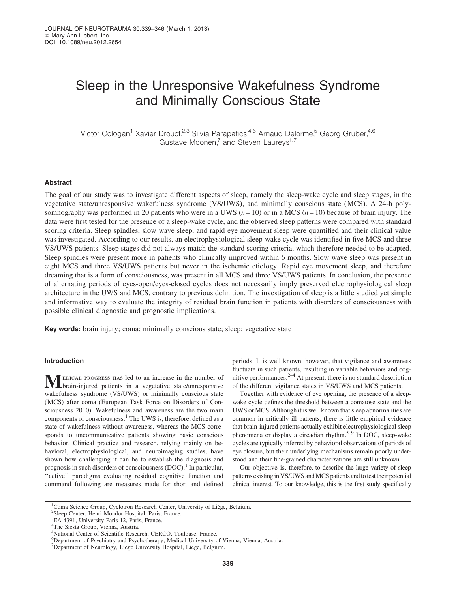# Sleep in the Unresponsive Wakefulness Syndrome and Minimally Conscious State

Victor Cologan,<sup>1</sup> Xavier Drouot,<sup>2,3</sup> Silvia Parapatics,<sup>4,6</sup> Arnaud Delorme,<sup>5</sup> Georg Gruber,<sup>4,6</sup> Gustave Moonen,<sup>7</sup> and Steven Laureys<sup>1,7</sup>

# Abstract

The goal of our study was to investigate different aspects of sleep, namely the sleep-wake cycle and sleep stages, in the vegetative state/unresponsive wakefulness syndrome (VS/UWS), and minimally conscious state (MCS). A 24-h polysomnography was performed in 20 patients who were in a UWS ( $n = 10$ ) or in a MCS ( $n = 10$ ) because of brain injury. The data were first tested for the presence of a sleep-wake cycle, and the observed sleep patterns were compared with standard scoring criteria. Sleep spindles, slow wave sleep, and rapid eye movement sleep were quantified and their clinical value was investigated. According to our results, an electrophysiological sleep-wake cycle was identified in five MCS and three VS/UWS patients. Sleep stages did not always match the standard scoring criteria, which therefore needed to be adapted. Sleep spindles were present more in patients who clinically improved within 6 months. Slow wave sleep was present in eight MCS and three VS/UWS patients but never in the ischemic etiology. Rapid eye movement sleep, and therefore dreaming that is a form of consciousness, was present in all MCS and three VS/UWS patients. In conclusion, the presence of alternating periods of eyes-open/eyes-closed cycles does not necessarily imply preserved electrophysiological sleep architecture in the UWS and MCS, contrary to previous definition. The investigation of sleep is a little studied yet simple and informative way to evaluate the integrity of residual brain function in patients with disorders of consciousness with possible clinical diagnostic and prognostic implications.

Key words: brain injury; coma; minimally conscious state; sleep; vegetative state

# Introduction

**MEDICAL PROGRESS HAS led to an increase in the number of** brain-injured patients in a vegetative state/unresponsive wakefulness syndrome (VS/UWS) or minimally conscious state (MCS) after coma (European Task Force on Disorders of Consciousness 2010). Wakefulness and awareness are the two main components of consciousness.<sup>1</sup> The UWS is, therefore, defined as a state of wakefulness without awareness, whereas the MCS corresponds to uncommunicative patients showing basic conscious behavior. Clinical practice and research, relying mainly on behavioral, electrophysiological, and neuroimaging studies, have shown how challenging it can be to establish the diagnosis and prognosis in such disorders of consciousness  $(DOC)^T$  In particular, "active" paradigms evaluating residual cognitive function and command following are measures made for short and defined periods. It is well known, however, that vigilance and awareness fluctuate in such patients, resulting in variable behaviors and cognitive performances. $2-4$  At present, there is no standard description of the different vigilance states in VS/UWS and MCS patients.

Together with evidence of eye opening, the presence of a sleepwake cycle defines the threshold between a comatose state and the UWS or MCS. Although it is well known that sleep abnormalities are common in critically ill patients, there is little empirical evidence that brain-injured patients actually exhibit electrophysiological sleep phenomena or display a circadian rhythm.5–9 In DOC, sleep-wake cycles are typically inferred by behavioral observations of periods of eye closure, but their underlying mechanisms remain poorly understood and their fine-grained characterizations are still unknown.

Our objective is, therefore, to describe the large variety of sleep patterns existing in VS/UWS and MCS patients and to test their potential clinical interest. To our knowledge, this is the first study specifically

<sup>&</sup>lt;sup>1</sup> Coma Science Group, Cyclotron Research Center, University of Liège, Belgium.

<sup>&</sup>lt;sup>2</sup>Sleep Center, Henri Mondor Hospital, Paris, France.

<sup>&</sup>lt;sup>3</sup>EA 4391, University Paris 12, Paris, France.

<sup>4</sup> The Siesta Group, Vienna, Austria.

<sup>5</sup> National Center of Scientific Research, CERCO, Toulouse, France.

<sup>6</sup> Department of Psychiatry and Psychotherapy, Medical University of Vienna, Vienna, Austria.

<sup>&</sup>lt;sup>7</sup>Department of Neurology, Liege University Hospital, Liege, Belgium.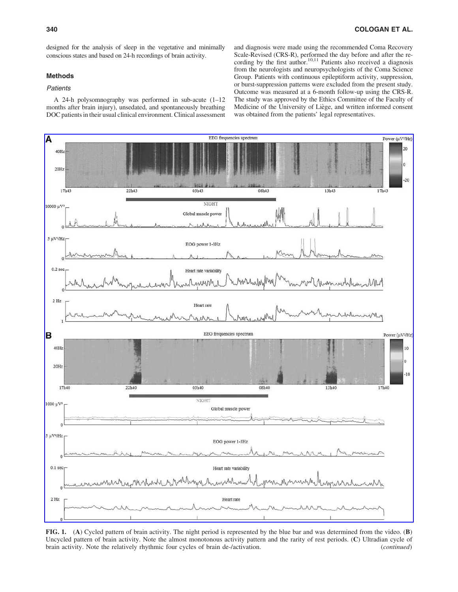designed for the analysis of sleep in the vegetative and minimally conscious states and based on 24-h recordings of brain activity.

# Methods

# Patients

A 24-h polysomnography was performed in sub-acute (1–12 months after brain injury), unsedated, and spontaneously breathing DOC patients in their usual clinical environment. Clinical assessment and diagnosis were made using the recommended Coma Recovery Scale-Revised (CRS-R), performed the day before and after the recording by the first author.<sup>10,11</sup> Patients also received a diagnosis from the neurologists and neuropsychologists of the Coma Science Group. Patients with continuous epileptiform activity, suppression, or burst-suppression patterns were excluded from the present study. Outcome was measured at a 6-month follow-up using the CRS-R. The study was approved by the Ethics Committee of the Faculty of Medicine of the University of Liège, and written informed consent was obtained from the patients' legal representatives.



FIG. 1. (A) Cycled pattern of brain activity. The night period is represented by the blue bar and was determined from the video. (B) Uncycled pattern of brain activity. Note the almost monotonous activity pattern and the rarity of rest periods. (C) Ultradian cycle of brain activity. Note the relatively rhythmic four cycles of brain de-/activation. (*con* brain activity. Note the relatively rhythmic four cycles of brain de-/activation.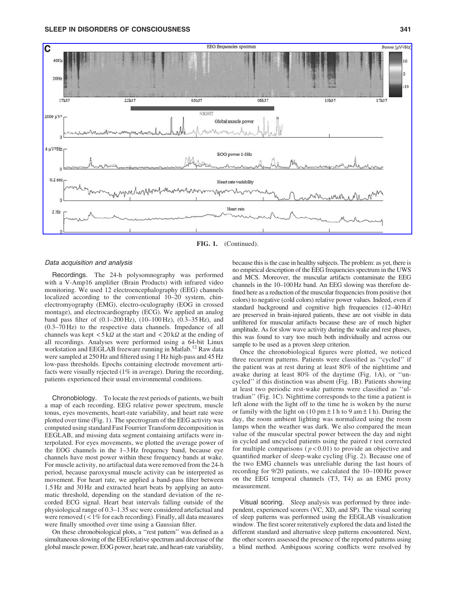

FIG. 1. (Continued).

# Data acquisition and analysis

Recordings. The 24-h polysomnography was performed with a V-Amp16 amplifier (Brain Products) with infrared video monitoring. We used 12 electroencephalography (EEG) channels localized according to the conventional 10–20 system, chinelectromyography (EMG), electro-oculography (EOG in crossed montage), and electrocardiography (ECG). We applied an analog band pass filter of  $(0.1–200 \text{ Hz})$ ,  $(10–100 \text{ Hz})$ ,  $(0.3–35 \text{ Hz})$ , and (0.3–70 Hz) to the respective data channels. Impedance of all channels was kept  $\langle 5 \kappa \Omega$  at the start and  $\langle 20 \kappa \Omega$  at the ending of all recordings. Analyses were performed using a 64-bit Linux workstation and EEGLAB freeware running in Matlab.<sup>12</sup> Raw data were sampled at 250 Hz and filtered using 1 Hz high-pass and 45 Hz low-pass thresholds. Epochs containing electrode movement artifacts were visually rejected (1% in average). During the recording, patients experienced their usual environmental conditions.

Chronobiology. To locate the rest periods of patients, we built a map of each recording. EEG relative power spectrum, muscle tonus, eyes movements, heart-rate variability, and heart rate were plotted over time (Fig. 1). The spectrogram of the EEG activity was computed using standard Fast Fourrier Transform decomposition in EEGLAB, and missing data segment containing artifacts were interpolated. For eyes movements, we plotted the average power of the EOG channels in the 1–3 Hz frequency band, because eye channels have most power within these frequency bands at wake. For muscle activity, no artifactual data were removed from the 24-h period, because paroxysmal muscle activity can be interpreted as movement. For heart rate, we applied a band-pass filter between 1.5 Hz and 30 Hz and extracted heart beats by applying an automatic threshold, depending on the standard deviation of the recorded ECG signal. Heart beat intervals falling outside of the physiological range of 0.3–1.35 sec were considered artefactual and were removed  $\left($  < 1% for each recording). Finally, all data measures were finally smoothed over time using a Gaussian filter.

On these chronobiological plots, a ''rest pattern'' was defined as a simultaneous slowing of the EEG relative spectrum and decrease of the global muscle power, EOG power, heart rate, and heart-rate variability,

because this is the case in healthy subjects. The problem: as yet, there is no empirical description of the EEG frequencies spectrum in the UWS and MCS. Moreover, the muscular artifacts contaminate the EEG channels in the 10–100 Hz band. An EEG slowing was therefore defined here as a reduction of the muscular frequencies from positive (hot colors) to negative (cold colors) relative power values. Indeed, even if standard background and cognitive high frequencies (12–40 Hz) are preserved in brain-injured patients, these are not visible in data unfiltered for muscular artifacts because these are of much higher amplitude. As for slow wave activity during the wake and rest phases, this was found to vary too much both individually and across our sample to be used as a proven sleep criterion.

Once the chronobiological figures were plotted, we noticed three recurrent patterns. Patients were classified as ''cycled'' if the patient was at rest during at least 80% of the nighttime and awake during at least 80% of the daytime (Fig. 1A), or ''uncycled'' if this distinction was absent (Fig. 1B). Patients showing at least two periodic rest-wake patterns were classified as ''ultradian'' (Fig. 1C). Nighttime corresponds to the time a patient is left alone with the light off to the time he is woken by the nurse or family with the light on  $(10 \text{ pm} \pm 1 \text{ h to } 9 \text{ am} \pm 1 \text{ h})$ . During the day, the room ambient lighting was normalized using the room lamps when the weather was dark. We also compared the mean value of the muscular spectral power between the day and night in cycled and uncycled patients using the paired  $t$  test corrected for multiple comparisons ( $p < 0.01$ ) to provide an objective and quantified marker of sleep-wake cycling (Fig. 2). Because one of the two EMG channels was unreliable during the last hours of recording for 9/20 patients, we calculated the 10–100 Hz power on the EEG temporal channels (T3, T4) as an EMG proxy measurement.

Visual scoring. Sleep analysis was performed by three independent, experienced scorers (VC, XD, and SP). The visual scoring of sleep patterns was performed using the EEGLAB visualization window. The first scorer reiteratively explored the data and listed the different standard and alternative sleep patterns encountered. Next, the other scorers assessed the presence of the reported patterns using a blind method. Ambiguous scoring conflicts were resolved by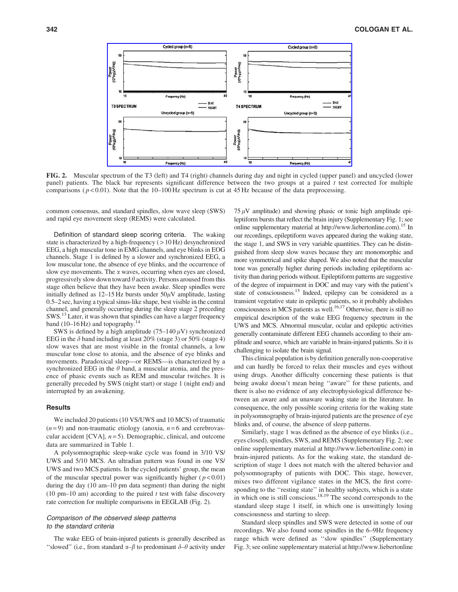

FIG. 2. Muscular spectrum of the T3 (left) and T4 (right) channels during day and night in cycled (upper panel) and uncycled (lower panel) patients. The black bar represents significant difference between the two groups at a paired t test corrected for multiple comparisons ( $p < 0.01$ ). Note that the 10–100 Hz spectrum is cut at 45 Hz because of the data preprocessing.

common consensus, and standard spindles, slow wave sleep (SWS) and rapid eye movement sleep (REMS) were calculated.

Definition of standard sleep scoring criteria. The waking state is characterized by a high-frequency ( > 10 Hz) desynchronized EEG, a high muscular tone in EMG channels, and eye blinks in EOG channels. Stage 1 is defined by a slower and synchronized EEG, a low muscular tone, the absence of eye blinks, and the occurrence of slow eye movements. The  $\alpha$  waves, occurring when eyes are closed, progressively slow down toward  $\theta$  activity. Persons aroused from this stage often believe that they have been awake. Sleep spindles were initially defined as  $12-15$  Hz bursts under  $50\mu$ V amplitude, lasting 0.5–2 sec, having a typical sinus-like shape, best visible in the central channel, and generally occurring during the sleep stage 2 preceding SWS.13 Later, it was shown that spindles can have a larger frequency band (10–16 Hz) and topography.<sup>14</sup>

SWS is defined by a high amplitude (75–140  $\mu$ V) synchronized EEG in the  $\delta$  band including at least 20% (stage 3) or 50% (stage 4) slow waves that are most visible in the frontal channels, a low muscular tone close to atonia, and the absence of eye blinks and movements. Paradoxical sleep—or REMS—is characterized by a synchronized EEG in the  $\theta$  band, a muscular atonia, and the presence of phasic events such as REM and muscular twitches. It is generally preceded by SWS (night start) or stage 1 (night end) and interrupted by an awakening.

#### **Results**

We included 20 patients (10 VS/UWS and 10 MCS) of traumatic  $(n=9)$  and non-traumatic etiology (anoxia,  $n=6$  and cerebrovascular accident  $[CVA]$ ,  $n=5$ ). Demographic, clinical, and outcome data are summarized in Table 1.

A polysomnographic sleep-wake cycle was found in 3/10 VS/ UWS and 5/10 MCS. An ultradian pattern was found in one VS/ UWS and two MCS patients. In the cycled patients' group, the mean of the muscular spectral power was significantly higher ( $p < 0.01$ ) during the day (10 am–10 pm data segment) than during the night (10 pm–10 am) according to the paired  $t$  test with false discovery rate correction for multiple comparisons in EEGLAB (Fig. 2).

# Comparison of the observed sleep patterns to the standard criteria

The wake EEG of brain-injured patients is generally described as "slowed" (i.e., from standard  $\alpha-\beta$  to predominant  $\delta-\theta$  activity under  $75 \mu$ V amplitude) and showing phasic or tonic high amplitude epileptiform bursts that reflect the brain injury (Supplementary Fig. 1; see online supplementary material at http://www.liebertonline.com).<sup>15</sup> In our recordings, epileptiform waves appeared during the waking state, the stage 1, and SWS in very variable quantities. They can be distinguished from sleep slow waves because they are monomorphic and more symmetrical and spike shaped. We also noted that the muscular tone was generally higher during periods including epileptiform activity than during periods without. Epileptiform patterns are suggestive of the degree of impairment in DOC and may vary with the patient's state of consciousness.15 Indeed, epilepsy can be considered as a transient vegetative state in epileptic patients, so it probably abolishes consciousness in MCS patients as well.<sup>16,17</sup> Otherwise, there is still no empirical description of the wake EEG frequency spectrum in the UWS and MCS. Abnormal muscular, ocular and epileptic activities generally contaminate different EEG channels according to their amplitude and source, which are variable in brain-injured patients. So it is challenging to isolate the brain signal.

This clinical population is by definition generally non-cooperative and can hardly be forced to relax their muscles and eyes without using drugs. Another difficulty concerning these patients is that being awake doesn't mean being ''aware'' for these patients, and there is also no evidence of any electrophysiological difference between an aware and an unaware waking state in the literature. In consequence, the only possible scoring criteria for the waking state in polysomnography of brain-injured patients are the presence of eye blinks and, of course, the absence of sleep patterns.

Similarly, stage 1 was defined as the absence of eye blinks (i.e., eyes closed), spindles, SWS, and REMS (Supplementary Fig. 2; see online supplementary material at http://www.liebertonline.com) in brain-injured patients. As for the waking state, the standard description of stage 1 does not match with the altered behavior and polysomnography of patients with DOC. This stage, however, mixes two different vigilance states in the MCS, the first corresponding to the ''resting state'' in healthy subjects, which is a state in which one is still conscious.<sup>18,19</sup> The second corresponds to the standard sleep stage 1 itself, in which one is unwittingly losing consciousness and starting to sleep.

Standard sleep spindles and SWS were detected in some of our recordings. We also found some spindles in the 6–9Hz frequency range which were defined as ''slow spindles'' (Supplementary Fig. 3; see online supplementary material at http://www.liebertonline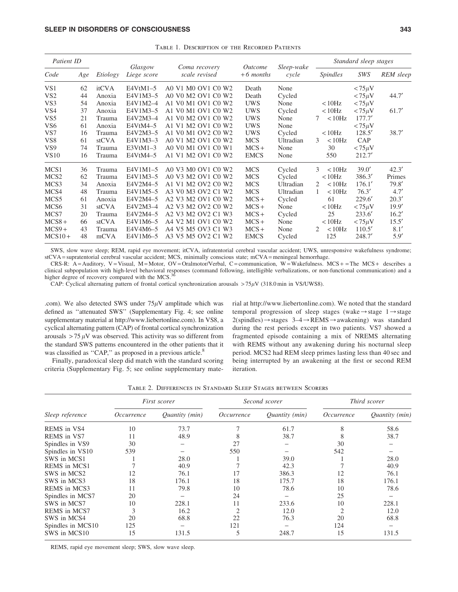| Patient ID       |     |          |                        |                                |                                      |                     | Standard sleep stages     |              |           |
|------------------|-----|----------|------------------------|--------------------------------|--------------------------------------|---------------------|---------------------------|--------------|-----------|
| Code             | Age | Etiology | Glasgow<br>Liege score | Coma recovery<br>scale revised | <i><u>Outcome</u></i><br>$+6$ months | Sleep-wake<br>cycle | <i>Spindles</i>           | SWS          | REM sleep |
| VS <sub>1</sub>  | 62  | itCVA    | $E4VtM1-5$             | A0 V1 M0 OV1 C0 W2             | Death                                | None                |                           | $< 75 \mu V$ |           |
| VS <sub>2</sub>  | 44  | Anoxia   | E4V1M3-5               | A0 V0 M2 OV1 C0 W2             | Death                                | Cycled              |                           | $< 75 \mu V$ | 44.7'     |
| VS3              | 54  | Anoxia   | E4V1M2-4               | A1 V0 M1 OV1 C0 W2             | <b>UWS</b>                           | None                | < 10 Hz                   | $< 75 \mu V$ |           |
| VS <sub>4</sub>  | 37  | Anoxia   | E4V1M3-5               | A1 V0 M1 OV1 C0 W2             | <b>UWS</b>                           | Cycled              | < 10 Hz                   | $< 75 \mu V$ | 61.7'     |
| VS <sub>5</sub>  | 21  | Trauma   | E4V2M3-4               | A1 V0 M2 OV1 C0 W2             | <b>UWS</b>                           | None                | < 10 Hz<br>7              | 177.7'       |           |
| VS <sub>6</sub>  | 61  | Anoxia   | E4VtM4-5               | A1 V1 M2 OV1 C0 W2             | <b>UWS</b>                           | None                |                           | $< 75 \mu V$ |           |
| VS7              | 16  | Trauma   | E4V2M3-5               | A1 V0 M1 OV2 C0 W2             | <b>UWS</b>                           | Cycled              | < 10 Hz                   | 128.5'       | 38.7'     |
| VS <sub>8</sub>  | 61  | stCVA    | E4V1M3-3               | A0 V1 M2 OV1 C0 W2             | <b>MCS</b>                           | Ultradian           | < 10 Hz<br>3              | CAP          |           |
| VS <sub>9</sub>  | 74  | Trauma   | $E3VtM1-3$             | A0 V0 M1 OV1 C0 W1             | $MCS +$                              | None                | 30                        | $< 75 \mu V$ |           |
| <b>VS10</b>      | 16  | Trauma   | E4VtM4-5               | A1 V1 M2 OV1 C0 W2             | <b>EMCS</b>                          | None                | 550                       | 212.7'       |           |
| MCS1             | 36  | Trauma   | E4V1M1-5               | A0 V3 M0 OV1 C0 W2             | <b>MCS</b>                           | Cycled              | 3<br>< 10 Hz              | 39.0'        | 42.3'     |
| MCS <sub>2</sub> | 62  | Trauma   | E4V1M3-5               | A0 V3 M2 OV1 C0 W2             | <b>MCS</b>                           | Cycled              | < 10 Hz                   | 386.3'       | Primes    |
| MCS <sub>3</sub> | 34  | Anoxia   | E4V2M4-5               | A1 V1 M2 OV2 C0 W2             | <b>MCS</b>                           | Ultradian           | < 10 Hz<br>$\mathfrak{D}$ | 176.1'       | 79.8'     |
| MCS4             | 48  | Trauma   | E4V1M5-5               | A3 V0 M3 OV2 C1 W2             | <b>MCS</b>                           | Ultradian           | < 10 Hz                   | 76.3'        | 4.7'      |
| MCS <sub>5</sub> | 61  | Anoxia   | E4V2M4-5               | A2 V3 M2 OV1 C0 W2             | $MCS+$                               | Cycled              | 61                        | 229.6        | 20.3'     |
| MCS <sub>6</sub> | 31  | stCVA    | E4V2M3-4               | A2 V3 M2 OV2 C0 W2             | $MCS+$                               | None                | < 10 Hz                   | $< 75 \mu V$ | 19.9'     |
| MCS7             | 20  | Trauma   | E4V2M4-5               | A2 V3 M2 OV2 C1 W3             | $MCS+$                               | Cycled              | 25                        | 233.6'       | 16.2'     |
| $MCS8+$          | 66  | stCVA    | E4V1M6-5               | A4 V2 M1 OV1 C0 W2             | $MCS+$                               | None                | < 10 Hz                   | $< 75 \mu V$ | 15.5'     |
| $MCS9+$          | 43  | Trauma   | E4V4M6-5               | A4 V5 M5 OV3 C1 W3             | $MCS+$                               | None                | < 10 Hz<br>2              | 110.5'       | 8.1'      |
| $MCS10+$         | 48  | mCVA     | E4V1M6-5               | A3 V5 M5 OV2 C1 W2             | <b>EMCS</b>                          | Cycled              | 125                       | 248.7'       | 5.9'      |

Table 1. Description of the Recorded Patients

SWS, slow wave sleep; REM, rapid eye movement; itCVA, infratentorial cerebral vascular accident; UWS, unresponsive wakefulness syndrome; stCVA = supratentorial cerebral vascular accident; MCS, minimally conscious state; mCVA = meningeal hemorrhage.

CRS-R: A = Auditory, V = Visual, M = Motor, OV = Oralmotor/Verbal, C = communication, W = Wakefulness. MCS + = The MCS + describes a clinical subpopulation with high-level behavioral responses (command following, intelligible verbalizations, or non-functional communication) and a higher degree of recovery compared with the MCS.

CAP: Cyclical alternating pattern of frontal cortical synchronization arousals  $>75\mu$ V (318.0 min in VS/UWS8).

.com). We also detected SWS under  $75\mu$ V amplitude which was defined as ''attenuated SWS'' (Supplementary Fig. 4; see online supplementary material at http://www.liebertonline.com). In VS8, a cyclical alternating pattern (CAP) of frontal cortical synchronization arousals  $> 75 \mu V$  was observed. This activity was so different from the standard SWS patterns encountered in the other patients that it was classified as "CAP," as proposed in a previous article.<sup>8</sup>

Finally, paradoxical sleep did match with the standard scoring criteria (Supplementary Fig. 5; see online supplementary material at http://www.liebertonline.com). We noted that the standard temporal progression of sleep stages (wake $\rightarrow$ stage 1 $\rightarrow$ stage  $2(spindles) \rightarrow stages$  3–4 $\rightarrow$ REMS $\rightarrow$ awakening) was standard during the rest periods except in two patients. VS7 showed a fragmented episode containing a mix of NREMS alternating with REMS without any awakening during his nocturnal sleep period. MCS2 had REM sleep primes lasting less than 40 sec and being interrupted by an awakening at the first or second REM iteration.

Table 2. Differences in Standard Sleep Stages between Scorers

|                     |            | First scorer   |                   | Second scorer  | Third scorer      |                |
|---------------------|------------|----------------|-------------------|----------------|-------------------|----------------|
| Sleep reference     | Occurrence | Quantity (min) | <i>Occurrence</i> | Quantity (min) | <i>Occurrence</i> | Quantity (min) |
| REMS in VS4         | 10         | 73.7           |                   | 61.7           | 8                 | 58.6           |
| <b>REMS</b> in VS7  | 11         | 48.9           |                   | 38.7           |                   | 38.7           |
| Spindles in VS9     | 30         |                | 27                |                | 30                |                |
| Spindles in VS10    | 539        |                | 550               |                | 542               |                |
| SWS in MCS1         |            | 28.0           |                   | 39.0           |                   | 28.0           |
| <b>REMS</b> in MCS1 |            | 40.9           |                   | 42.3           |                   | 40.9           |
| SWS in MCS2         | 12         | 76.1           |                   | 386.3          | 12                | 76.1           |
| SWS in MCS3         | 18         | 176.1          | 18                | 175.7          | 18                | 176.1          |
| <b>REMS</b> in MCS3 | 11         | 79.8           | 10                | 78.6           | 10                | 78.6           |
| Spindles in MCS7    | 20         |                | 24                |                | 25                |                |
| SWS in MCS7         | 10         | 228.1          | 11                | 233.6          | 10                | 228.1          |
| <b>REMS</b> in MCS7 | 3          | 16.2           |                   | 12.0           | $\overline{c}$    | 12.0           |
| SWS in MCS4         | 20         | 68.8           | 22                | 76.3           | 20                | 68.8           |
| Spindles in MCS10   | 125        |                | 121               |                | 124               |                |
| SWS in MCS10        | 15         | 131.5          | 5                 | 248.7          | 15                | 131.5          |

REMS, rapid eye movement sleep; SWS, slow wave sleep.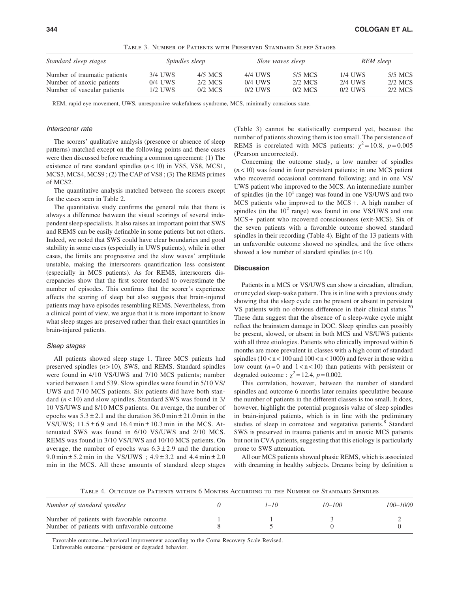| Standard sleep stages        | <i>Spindles sleep</i> |           | Slow waves sleep |           | REM sleep |         |
|------------------------------|-----------------------|-----------|------------------|-----------|-----------|---------|
| Number of traumatic patients | 3/4 UWS               | 4/5 MCS   | 4/4 UWS          | 5/5 MCS   | 1/4 UWS   | 5/5 MCS |
| Number of anoxic patients    | $0/4$ UWS             | 2/2 MCS   | $0/4$ UWS        | 2/2 MCS   | 2/4 UWS   | 2/2 MCS |
| Number of vascular patients  | 1/2 UWS               | $0/2$ MCS | $0/2$ UWS        | $0/2$ MCS | $0/2$ UWS | 2/2 MCS |

Table 3. Number of Patients with Preserved Standard Sleep Stages

REM, rapid eye movement, UWS, unresponsive wakefulness syndrome, MCS, minimally conscious state.

#### Interscorer rate

The scorers' qualitative analysis (presence or absence of sleep patterns) matched except on the following points and these cases were then discussed before reaching a common agreement: (1) The existence of rare standard spindles  $(n < 10)$  in VS5, VS8, MCS1, MCS3, MCS4, MCS9 ; (2) The CAP of VS8 ; (3) The REMS primes of MCS2.

The quantitative analysis matched between the scorers except for the cases seen in Table 2.

The quantitative study confirms the general rule that there is always a difference between the visual scorings of several independent sleep specialists. It also raises an important point that SWS and REMS can be easily definable in some patients but not others. Indeed, we noted that SWS could have clear boundaries and good stability in some cases (especially in UWS patients), while in other cases, the limits are progressive and the slow waves' amplitude unstable, making the interscorers quantification less consistent (especially in MCS patients). As for REMS, interscorers discrepancies show that the first scorer tended to overestimate the number of episodes. This confirms that the scorer's experience affects the scoring of sleep but also suggests that brain-injured patients may have episodes resembling REMS. Nevertheless, from a clinical point of view, we argue that it is more important to know what sleep stages are preserved rather than their exact quantities in brain-injured patients.

#### Sleep stages

All patients showed sleep stage 1. Three MCS patients had preserved spindles  $(n > 10)$ , SWS, and REMS. Standard spindles were found in 4/10 VS/UWS and 7/10 MCS patients; number varied between 1 and 539. Slow spindles were found in 5/10 VS/ UWS and 7/10 MCS patients. Six patients did have both standard  $(n < 10)$  and slow spindles. Standard SWS was found in 3/ 10 VS/UWS and 8/10 MCS patients. On average, the number of epochs was  $5.3 \pm 2.1$  and the duration  $36.0 \text{ min } \pm 21.0 \text{ min}$  in the VS/UWS;  $11.5 \pm 6.9$  and  $16.4 \text{ min} \pm 10.3 \text{ min}$  in the MCS. Attenuated SWS was found in 6/10 VS/UWS and 2/10 MCS. REMS was found in 3/10 VS/UWS and 10/10 MCS patients. On average, the number of epochs was  $6.3 \pm 2.9$  and the duration 9.0 min  $\pm$  5.2 min in the VS/UWS ; 4.9  $\pm$  3.2 and 4.4 min  $\pm$  2.0 min in the MCS. All these amounts of standard sleep stages (Table 3) cannot be statistically compared yet, because the number of patients showing them is too small. The persistence of REMS is correlated with MCS patients:  $\chi^2 = 10.8$ ,  $p = 0.005$ (Pearson uncorrected).

Concerning the outcome study, a low number of spindles  $(n<10)$  was found in four persistent patients; in one MCS patient who recovered occasional command following; and in one VS/ UWS patient who improved to the MCS. An intermediate number of spindles (in the  $10<sup>1</sup>$  range) was found in one VS/UWS and two MCS patients who improved to the  $MCS + A$  high number of spindles (in the  $10<sup>2</sup>$  range) was found in one VS/UWS and one MCS + patient who recovered consciousness (exit-MCS). Six of the seven patients with a favorable outcome showed standard spindles in their recording (Table 4). Eight of the 13 patients with an unfavorable outcome showed no spindles, and the five others showed a low number of standard spindles  $(n < 10)$ .

### **Discussion**

Patients in a MCS or VS/UWS can show a circadian, ultradian, or uncycled sleep-wake pattern. This is in line with a previous study showing that the sleep cycle can be present or absent in persistent VS patients with no obvious difference in their clinical status.<sup>20</sup> These data suggest that the absence of a sleep-wake cycle might reflect the brainstem damage in DOC. Sleep spindles can possibly be present, slowed, or absent in both MCS and VS/UWS patients with all three etiologies. Patients who clinically improved within 6 months are more prevalent in classes with a high count of standard spindles  $(10 < n < 100$  and  $100 < n < 1000$ ) and fewer in those with a low count  $(n=0 \text{ and } 1 < n < 10)$  than patients with persistent or degraded outcome :  $\chi^2 = 12.4$ ,  $p = 0.002$ .

This correlation, however, between the number of standard spindles and outcome 6 months later remains speculative because the number of patients in the different classes is too small. It does, however, highlight the potential prognosis value of sleep spindles in brain-injured patients, which is in line with the preliminary studies of sleep in comatose and vegetative patients.<sup>8</sup> Standard SWS is preserved in trauma patients and in anoxic MCS patients but not in CVA patients, suggesting that this etiology is particularly prone to SWS attenuation.

All our MCS patients showed phasic REMS, which is associated with dreaming in healthy subjects. Dreams being by definition a

Table 4. Outcome of Patients within 6 Months According to the Number of Standard Spindles

| Number of standard spindles                                                              | 1–10 | $10 - 100$ | 100-1000 |
|------------------------------------------------------------------------------------------|------|------------|----------|
| Number of patients with favorable outcome<br>Number of patients with unfavorable outcome |      |            |          |

Favorable outcome = behavioral improvement according to the Coma Recovery Scale-Revised. Unfavorable outcome = persistent or degraded behavior.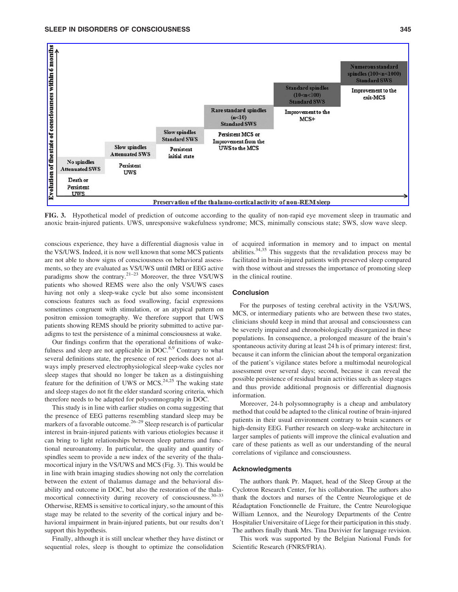

FIG. 3. Hypothetical model of prediction of outcome according to the quality of non-rapid eye movement sleep in traumatic and anoxic brain-injured patients. UWS, unresponsive wakefulness syndrome; MCS, minimally conscious state; SWS, slow wave sleep.

conscious experience, they have a differential diagnosis value in the VS/UWS. Indeed, it is now well known that some MCS patients are not able to show signs of consciousness on behavioral assessments, so they are evaluated as VS/UWS until fMRI or EEG active paradigms show the contrary.<sup>21–23</sup> Moreover, the three VS/UWS patients who showed REMS were also the only VS/UWS cases having not only a sleep-wake cycle but also some inconsistent conscious features such as food swallowing, facial expressions sometimes congruent with stimulation, or an atypical pattern on positron emission tomography. We therefore support that UWS patients showing REMS should be priority submitted to active paradigms to test the persistence of a minimal consciousness at wake.

Our findings confirm that the operational definitions of wakefulness and sleep are not applicable in  $DOC.^{8,9}$  Contrary to what several definitions state, the presence of rest periods does not always imply preserved electrophysiological sleep-wake cycles nor sleep stages that should no longer be taken as a distinguishing feature for the definition of UWS or MCS.<sup>24,25</sup> The waking state and sleep stages do not fit the elder standard scoring criteria, which therefore needs to be adapted for polysomnography in DOC.

This study is in line with earlier studies on coma suggesting that the presence of EEG patterns resembling standard sleep may be markers of a favorable outcome.<sup>26–29</sup> Sleep research is of particular interest in brain-injured patients with various etiologies because it can bring to light relationships between sleep patterns and functional neuroanatomy. In particular, the quality and quantity of spindles seem to provide a new index of the severity of the thalamocortical injury in the VS/UWS and MCS (Fig. 3). This would be in line with brain imaging studies showing not only the correlation between the extent of thalamus damage and the behavioral disability and outcome in DOC, but also the restoration of the thalamocortical connectivity during recovery of consciousness.<sup>30-33</sup> Otherwise, REMS is sensitive to cortical injury, so the amount of this stage may be related to the severity of the cortical injury and behavioral impairment in brain-injured patients, but our results don't support this hypothesis.

Finally, although it is still unclear whether they have distinct or sequential roles, sleep is thought to optimize the consolidation of acquired information in memory and to impact on mental abilities.34,35 This suggests that the revalidation process may be facilitated in brain-injured patients with preserved sleep compared with those without and stresses the importance of promoting sleep in the clinical routine.

# Conclusion

For the purposes of testing cerebral activity in the VS/UWS, MCS, or intermediary patients who are between these two states, clinicians should keep in mind that arousal and consciousness can be severely impaired and chronobiologically disorganized in these populations. In consequence, a prolonged measure of the brain's spontaneous activity during at least 24 h is of primary interest: first, because it can inform the clinician about the temporal organization of the patient's vigilance states before a multimodal neurological assessment over several days; second, because it can reveal the possible persistence of residual brain activities such as sleep stages and thus provide additional prognosis or differential diagnosis information.

Moreover, 24-h polysomnography is a cheap and ambulatory method that could be adapted to the clinical routine of brain-injured patients in their usual environment contrary to brain scanners or high-density EEG. Further research on sleep-wake architecture in larger samples of patients will improve the clinical evaluation and care of these patients as well as our understanding of the neural correlations of vigilance and consciousness.

# Acknowledgments

The authors thank Pr. Maquet, head of the Sleep Group at the Cyclotron Research Center, for his collaboration. The authors also thank the doctors and nurses of the Centre Neurologique et de Réadaptation Fonctionnelle de Fraiture, the Centre Neurologique William Lennox, and the Neurology Departments of the Centre Hospitalier Universitaire of Liege for their participation in this study. The authors finally thank Mrs. Tina Duvivier for language revision.

This work was supported by the Belgian National Funds for Scientific Research (FNRS/FRIA).